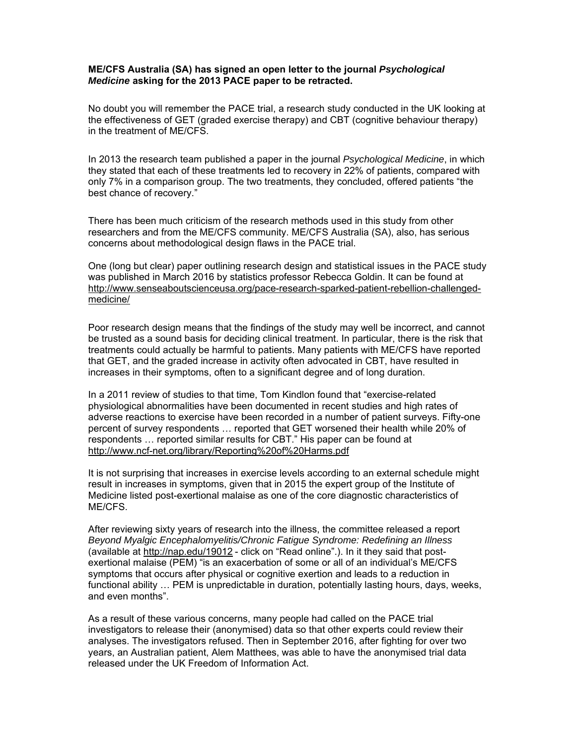## **ME/CFS Australia (SA) has signed an open letter to the journal** *Psychological Medicine* **asking for the 2013 PACE paper to be retracted.**

No doubt you will remember the PACE trial, a research study conducted in the UK looking at the effectiveness of GET (graded exercise therapy) and CBT (cognitive behaviour therapy) in the treatment of ME/CFS.

In 2013 the research team published a paper in the journal *Psychological Medicine*, in which they stated that each of these treatments led to recovery in 22% of patients, compared with only 7% in a comparison group. The two treatments, they concluded, offered patients "the best chance of recovery."

There has been much criticism of the research methods used in this study from other researchers and from the ME/CFS community. ME/CFS Australia (SA), also, has serious concerns about methodological design flaws in the PACE trial.

One (long but clear) paper outlining research design and statistical issues in the PACE study was published in March 2016 by statistics professor Rebecca Goldin. It can be found at http://www.senseaboutscienceusa.org/pace-research-sparked-patient-rebellion-challengedmedicine/

Poor research design means that the findings of the study may well be incorrect, and cannot be trusted as a sound basis for deciding clinical treatment. In particular, there is the risk that treatments could actually be harmful to patients. Many patients with ME/CFS have reported that GET, and the graded increase in activity often advocated in CBT, have resulted in increases in their symptoms, often to a significant degree and of long duration.

In a 2011 review of studies to that time, Tom Kindlon found that "exercise-related physiological abnormalities have been documented in recent studies and high rates of adverse reactions to exercise have been recorded in a number of patient surveys. Fifty-one percent of survey respondents … reported that GET worsened their health while 20% of respondents … reported similar results for CBT." His paper can be found at http://www.ncf-net.org/library/Reporting%20of%20Harms.pdf

It is not surprising that increases in exercise levels according to an external schedule might result in increases in symptoms, given that in 2015 the expert group of the Institute of Medicine listed post-exertional malaise as one of the core diagnostic characteristics of ME/CFS.

After reviewing sixty years of research into the illness, the committee released a report *Beyond Myalgic Encephalomyelitis/Chronic Fatigue Syndrome: Redefining an Illness*  (available at http://nap.edu/19012 - click on "Read online".). In it they said that postexertional malaise (PEM) "is an exacerbation of some or all of an individual's ME/CFS symptoms that occurs after physical or cognitive exertion and leads to a reduction in functional ability … PEM is unpredictable in duration, potentially lasting hours, days, weeks, and even months".

As a result of these various concerns, many people had called on the PACE trial investigators to release their (anonymised) data so that other experts could review their analyses. The investigators refused. Then in September 2016, after fighting for over two years, an Australian patient, Alem Matthees, was able to have the anonymised trial data released under the UK Freedom of Information Act.